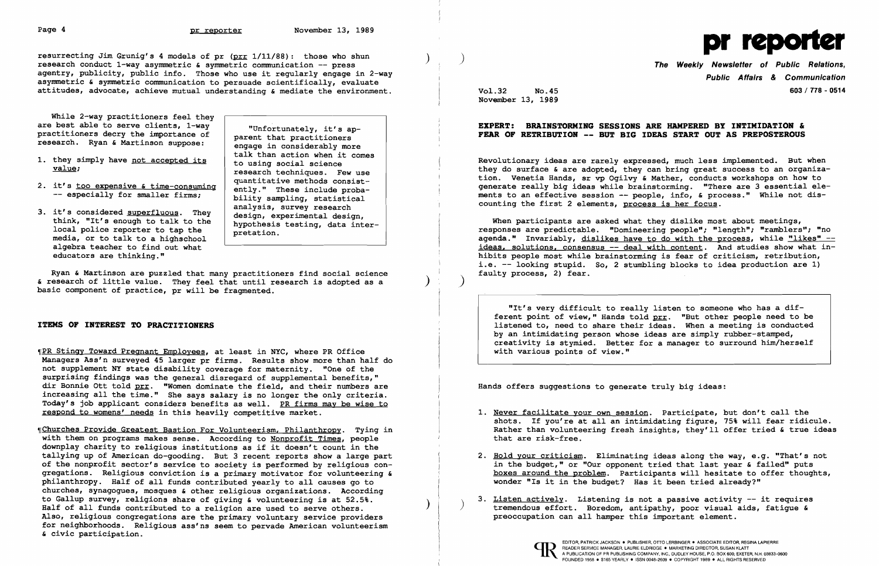Page 4 and provider provider those who shun (provider 13, 1989)<br>
resurrecting Jim Grunig's 4 models of pr (prr 1/11/88): those who shun (press onduct 1-way asymmetric & symmetric communication -- press (provider of Public research conduct 1-way asymmetric  $\epsilon$  symmetric communication -- press<br>agentry, publicity, public info. Those who use it regularly engage in 2-way asymmetric & symmetric communication to persuade scientifically, evaluate attitudes, advocate, achieve mutual understanding & mediate the environment.

While 2-way practitioners feel they<br>are best able to serve clients, 1-way

- 
- 2. it's <u>too expensive  $\epsilon$  time-consuming</u> ently." These include proba-<br>-- especially for smaller firms; bility sampling, statistical
- 3. it's considered <u>superfluous</u>. They design, experimental design, think, "It's enough to talk to the hypothesis testing, data inter nedia, or to talk to a highschool algebra teacher to find out what educators are thinking."

are best able to serve clients, 1-way<br>
practitioners decry the importance of<br>
research. Ryan & Martinson suppose:<br>
engage in considerably more<br>
talk than action when it comes 1. they simply have <u>not accepted its</u> to using social science<br>value; research techniques. Few use<br>quantitative methods consistanalysis, survey research<br>design, experimental design,

PR Stingy Toward Pregnant Employees, at least in NYC, where PR Office Managers Ass'n surveyed 45 larger pr firms. Results show more than half do not supplement NY state disability coverage for maternity. "One of the surprising findings was the general disregard of supplemental benefits," dir Bonnie Ott told prr. "Women dominate the field, and their numbers are increasing all the time." She says salary is no longer the only criteria. Today's job applicant considers benefits as well. PR firms may be wise to respond to womens' needs in this heavily competitive market.

Ryan & Martinson are puzzled that many practitioners find social science & research of little value. They feel that until research is adopted as a basic component of practice, pr will be fragmented.

### ITEMS OF INTEREST TO PRACTITIONERS

**(Churches Provide Greatest Bastion For Volunteerism, Philanthropy.** Tying in with them on programs makes sense. According to Nonprofit Times, people downplay charity to religious institutions as if it doesn't count in the tallying up of American do-gooding. But 3 recent reports show a large part of the nonprofit sector's service to society is performed by religious congregations. Religious conviction is a primary motivator for volunteering & philanthropy. Half of all funds contributed yearly to all causes go to churches, synagogues, mosques & other religious organizations. According to Gallup survey, religions share of giving & volunteering is at 52.5%. Half of all funds contributed to a religion are used to serve others. Also, religious congregations are the primary voluntary service providers for neighborhoods. Religious ass'ns seem to pervade American volunteerism & civic participation.

- 1. Never facilitate your own session. Participate, but don't call the that are risk-free.
- 2. Hold your criticism. Eliminating ideas along the way, e.g. "That's not wonder "Is it in the budget? Has it been tried already?"
- 3. <u>Listen actively</u>. Listening is not a passive activity -- it requires tremendous effort. Boredom, antipathy, poor visual aids, fatigue & preoccupation can all hamper this important element.





Public Affairs & Communication Vol.32 No.45 603/ 778 - 0514

November 13, 1989

 $)$  )  $)$ 

## EXPERT: BRAINSTORMING SESSIONS ARE HAMPERED BY INTIMIDATION & FEAR OF RETRIBUTION -- BUT BIG IDEAS START OUT AS PREPOSTEROUS

Revolutionary ideas are rarely expressed, much less implemented. But when they do surface & are adopted, they can bring great success to an organization. Venetia Hands, sr vp Ogilvy & Mather, conducts workshops on how to generate really big ideas while brainstorming. "There are 3 essential elements to an effective session -- people, info, & process." While not discounting the first 2 elements, process is her focus.

When participants are asked what they dislike most about meetings, responses are predictable. "Domineering people"; "length"; "ramblers"; "no agenda." Invariably, dislikes have to do with the process, while "likes"  $$ ideas, solutions, consensus -- deal with content. And studies show what inhibits people most while brainstorming is fear of criticism, retribution, i.e. -- looking stupid. So, 2 stumbling blocks to idea production are 1) faulty process, 2) fear.

"It's very difficult to really listen to someone who has a different point of view," Hands told prr. "But other people need to be listened to, need to share their ideas. When a meeting is conducted by an intimidating person whose ideas are simply rubber-stamped, creativity is stymied. Better for a manager to surround him/herself with various points of view."

Hands offers suggestions to generate truly big ideas:

shots. If you're at all an intimidating figure, 75% will fear ridicule. Rather than volunteering fresh insights, they'll offer tried & true ideas

in the budget," or "Our opponent tried that last year & failed" puts boxes around the problem. Participants will hesitate to offer thoughts,